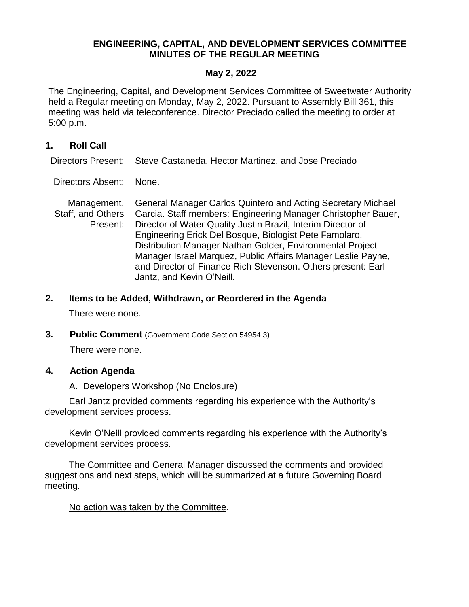# **ENGINEERING, CAPITAL, AND DEVELOPMENT SERVICES COMMITTEE MINUTES OF THE REGULAR MEETING**

## **May 2, 2022**

The Engineering, Capital, and Development Services Committee of Sweetwater Authority held a Regular meeting on Monday, May 2, 2022. Pursuant to Assembly Bill 361, this meeting was held via teleconference. Director Preciado called the meeting to order at 5:00 p.m.

## **1. Roll Call**

Directors Present: Steve Castaneda, Hector Martinez, and Jose Preciado

Directors Absent: None.

Management, Staff, and Others Present: General Manager Carlos Quintero and Acting Secretary Michael Garcia. Staff members: Engineering Manager Christopher Bauer, Director of Water Quality Justin Brazil, Interim Director of Engineering Erick Del Bosque, Biologist Pete Famolaro, Distribution Manager Nathan Golder, Environmental Project Manager Israel Marquez, Public Affairs Manager Leslie Payne, and Director of Finance Rich Stevenson. Others present: Earl Jantz, and Kevin O'Neill.

## **2. Items to be Added, Withdrawn, or Reordered in the Agenda**

There were none.

### **3. Public Comment** (Government Code Section 54954.3)

There were none.

## **4. Action Agenda**

A. Developers Workshop (No Enclosure)

Earl Jantz provided comments regarding his experience with the Authority's development services process.

Kevin O'Neill provided comments regarding his experience with the Authority's development services process.

The Committee and General Manager discussed the comments and provided suggestions and next steps, which will be summarized at a future Governing Board meeting.

### No action was taken by the Committee.